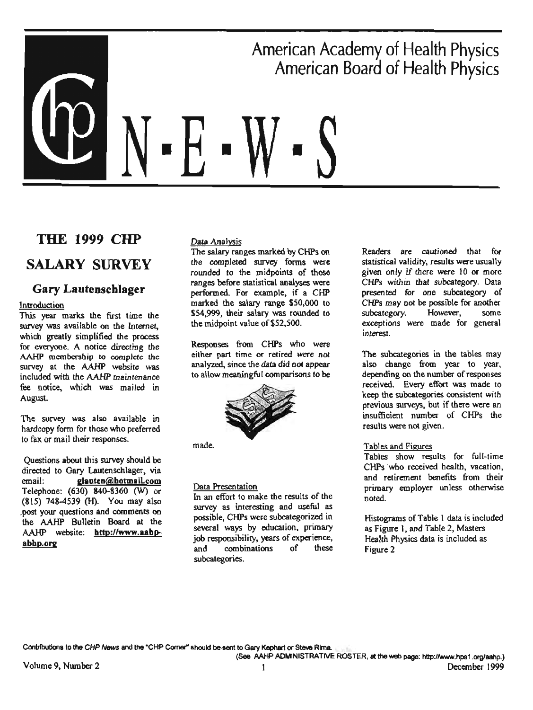# American Academy of Health Physics American Board of Health Physics ■ ■

# **THE 1999 CHP**

# **SALARY SURVEY**

# **Gary Lautenscblager**

#### Introduction

This year marks the first time the survey was available on the Internet, which greatly simplified the process for everyone. A notice directing the AAHP membership *to* complete the survey at the AAHP website was included with the *AAHP maintenance*  fee notice, wttich was mailed in August.

The survey was also available in hardcopy form for those who preferred to fax or mail their responses.

Questions about this survey should be directed to Gary Lautenschlager, via email: **2.lauten@botmail.com** Telephone: (630) 840-8360 (W) or (815) 748-4S39 (H). You may also \_post your questions and comments oo the AAHP Bulletin Board at the AAHP website: **http://www.aahpabbp.or2** 

#### Data Analysis

The salary ranges marked by CHPs on the completed survey forms were rounded to the midpoints of those ranges before statistical analyses were performed. For example, if a CHP marked the salary range SS0,000 to S54,999, their salary was rounded to the midpoint value of\$52,500.

Responses from CHPs who were either part time or retired were not analyzed, since the data did not appear to allow meaningful comparisons to be



made.

#### Data Presentation

In an effort to make the results of the survey as interesting and useful as possible, CHPs were subcategorized in several ways by education, primary job responsibility, years of experience, and combinations of these subcategories.

Readers are cautioned that for statistical validity, results were usually given only if there were IO or more CHPs within that subcategory. Data presented for one subcategory of CHPs may not be possible for another subcategory, However, some exceptions were made for general interest.

The subcategories in the tables may also change from year to year, depending on the number of respooses received. Every effort was made to keep the subcategories consistent with previous surveys, but if there were an insufficient number of CHPs the results were not given.

#### Tables and Figures

Tables show results for full-time CHPs 'who received health, vacation, and retirement benefits from their primary employer unless otherwise noted.

Histograms of Table I data is included as Figure I, and Table 2, Masters Health Physics data is included as Figure 2

Contributions to **tho** CHP *NflWs* **and the** "CHP *Comet"* **should be-serrt** to **Gary Kephrwt or Ste-.e Rima.**  (See MHP ADMINISTRATIVE ROSTER, **at the web page:** http:/MWtN.hps1 .org/aahp.)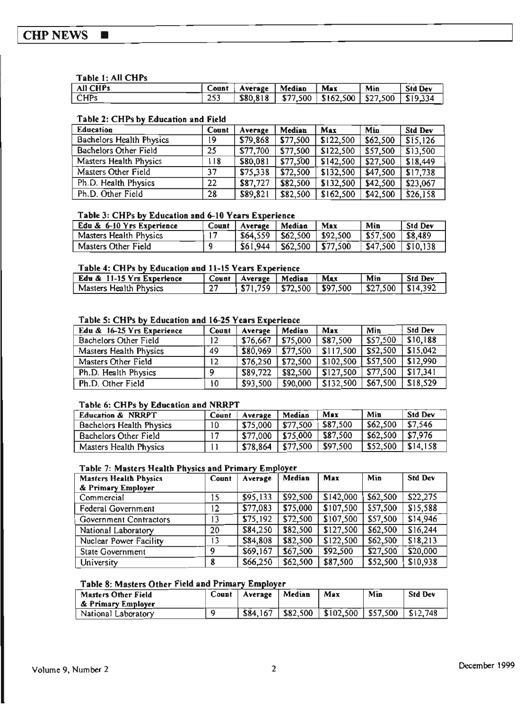#### **CHP NEWS**  $\blacksquare$

#### Table 1: All CHPs

| All CHPs | Count | Average | Median | Max                                                                 | Min | <b>Std Dev</b> |
|----------|-------|---------|--------|---------------------------------------------------------------------|-----|----------------|
| l CHPs   | 253   |         |        | $\frac{1}{1}$ \$80,818   \$77,500   \$162,500   \$27,500   \$19,334 |     |                |

#### Table 2: CHPs by Education and Field

| Education                | Count | Average  | Median   | Max       | Min      | <b>Std Dev</b> |
|--------------------------|-------|----------|----------|-----------|----------|----------------|
| Bachelors Health Physics | 19    | \$79,868 | \$77,500 | \$122,500 | \$62,500 | \$15,126       |
| Bachelors Other Field    | 25    | \$77,700 | \$77,500 | \$122,500 | \$57,500 | \$13,500       |
| Masters Health Physics   | 118   | \$80,081 | \$77,500 | \$142,500 | \$27,500 | \$18,449       |
| Masters Other Field      | 37    | \$75,338 | \$72,500 | \$132,500 | \$47,500 | \$17,738       |
| Ph.D. Health Physics     | 22    | \$87,727 | \$82,500 | \$132,500 | \$42,500 | \$23,067       |
| Ph.D. Other Field        | 28    | \$89,821 | \$82,500 | \$162,500 | \$42,500 | \$26,158       |

#### Table 3: CHPs by Education and 6-10 Years Experience

| Edu & 6-10 Yrs Experience | Count | Average                                | Median                            | Max | Min                    | Std Dev |
|---------------------------|-------|----------------------------------------|-----------------------------------|-----|------------------------|---------|
| Masters Health Physics    |       | $\vert$ \$64,559   \$62,500   \$92,500 |                                   |     | $ $ \$57,500 \ \$8,489 |         |
| Masters Other Field       |       | \$61,944                               | $\vert$ \$62,500 $\vert$ \$77,500 |     | $ $47,500$ $ $10,138$  |         |

#### Table 4: CHPs by Education and 11-15 Years Experience

| Edu & 11-15 Yrs Experience |    | Count   Average   Median | Max                                                          | Min | <b>Std Dev</b> |
|----------------------------|----|--------------------------|--------------------------------------------------------------|-----|----------------|
| Masters Health Physics     | 27 |                          | $\vert$ \$71,759   \$72,500   \$97,500   \$27,500   \$14,392 |     |                |

#### Table 5: CHPs by Education and 16-25 Years Experience

| Edu & 16-25 Yrs Experience | Count | Average  | Median   | Max       | Min      | <b>Std Dev</b> |
|----------------------------|-------|----------|----------|-----------|----------|----------------|
| Bachelors Other Field      | 12    | \$76,667 | \$75,000 | \$87,500  | \$57,500 | \$10,188       |
| Masters Health Physics     | 49    | \$80,969 | \$77.500 | \$117,500 | \$52,500 | \$15,042       |
| Masters Other Field        | 12    | \$76,250 | \$72,500 | \$102,500 | \$57,500 | \$12,990       |
| Ph.D. Health Physics       | ۵     | \$89,722 | \$82.500 | \$127.500 | \$77,500 | \$17,341       |
| Ph.D. Other Field          | 10    | \$93,500 | \$90,000 | \$132,500 | \$67,500 | \$18,529       |

#### Table 6: CHPs by Education and NRRPT

| Education & NRRPT        | Count | Average              | Median | Max      | Min                  | <b>Std Dev</b> |
|--------------------------|-------|----------------------|--------|----------|----------------------|----------------|
| Bachelors Health Physics | 10    | $$75,000$   \$77,500 |        | \$87,500 | \$62,500             | \$7,546        |
| Bachelors Other Field    | 17    | \$77,000   \$75,000  |        | \$87.500 | $$62,500$   \$7,976  |                |
| Masters Health Physics   |       | $$78,864$   \$77,500 |        | \$97,500 | $$52,500$   \$14,158 |                |

#### Table 7: Masters Health Physics and Primary Employer

| <b>Masters Health Physics</b> | Count | Average  | Median   | Max       | Min      | <b>Std Dev</b> |
|-------------------------------|-------|----------|----------|-----------|----------|----------------|
| & Primary Employer            |       |          |          |           |          |                |
| Commercial                    | 15    | \$95,133 | \$92,500 | \$142,000 | \$62,500 | \$22,275       |
| Federal Government            | 12    | \$77,083 | \$75,000 | \$107,500 | \$57,500 | \$15,588       |
| Government Contractors        | 13    | \$75,192 | \$72,500 | \$107,500 | \$57,500 | \$14,946       |
| National Laboratory           | 20    | \$84,250 | \$82,500 | \$127,500 | \$62,500 | \$16,244       |
| Nuclear Power Facility        | 13    | \$84,808 | \$82,500 | \$122,500 | \$62,500 | \$18,213       |
| <b>State Government</b>       | 9     | \$69,167 | \$67,500 | \$92,500  | \$27,500 | \$20,000       |
| University                    | 8     | \$66,250 | \$62,500 | \$87,500  | \$52,500 | \$10,938       |

#### Table 8: Masters Other Field and Primary Employer

| Masters Other Field<br>' & Primary Employer | Count | Average   Median | Max                                                | Min | <b>Std Dev</b> |
|---------------------------------------------|-------|------------------|----------------------------------------------------|-----|----------------|
| National Laboratory                         |       |                  | $$84,167$ $$82,500$ $$102,500$ $$57,500$ $$12,748$ |     |                |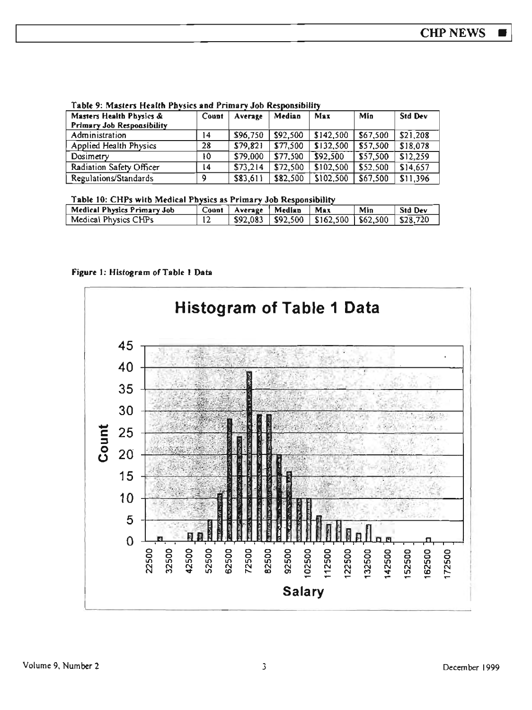#### Table 9: Masters Health Physics and Primary Job Responsibility

| Masters Health Physics &   | Count | Average  | Median   | Max       | Min      | <b>Std Dev</b> |
|----------------------------|-------|----------|----------|-----------|----------|----------------|
| Primary Job Responsibility |       |          |          |           |          |                |
| Administration             | 14    | \$96,750 | \$92,500 | \$142.500 | \$67.500 | \$21,208       |
| Applied Health Physics     | 28    | \$79,821 | \$77,500 | \$132,500 | \$57,500 | \$18,078       |
| Dosimetry                  | 10    | \$79,000 | \$77.500 | \$92,500  | \$57,500 | \$12,259       |
| Radiation Safety Officer   | 14    | \$73,214 | \$72,500 | \$102,500 | \$52,500 | \$14,657       |
| Regulations/Standards      | ٥     | \$83,611 | \$82,500 | \$102,500 | \$67,500 | \$11,396       |

#### Table 10: CHPs with Medical Physics as Primary Job Responsibility

| Medical Physics Primary Job | Count | Average Median | Max                                                        | Min | <b>Std Dev</b> |
|-----------------------------|-------|----------------|------------------------------------------------------------|-----|----------------|
| Medical Physics CHPs        |       |                | $$92,083$   $$92,500$   $$162,500$   $$62,500$   $$28,720$ |     |                |

#### Figure 1: Histogram of Table 1 Data

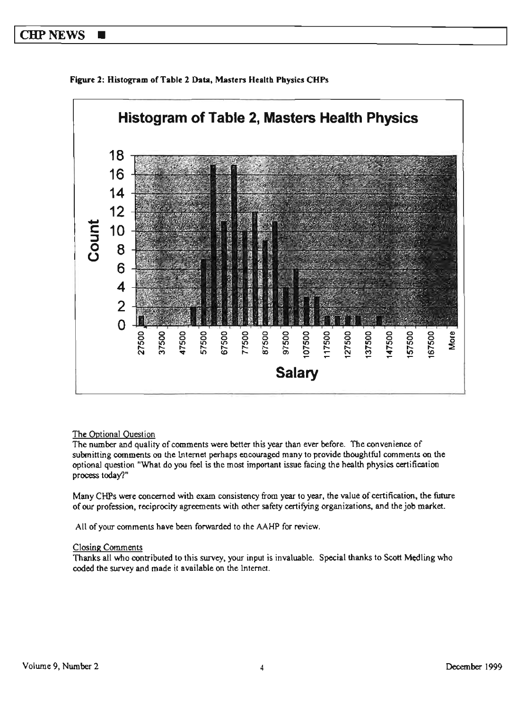#### CHP NEWS  $\blacksquare$





#### The Optional Question

The number and quality of comments were better this year than ever before. The convenience of submitting comments oo the internet perhaps encouraged many to provide thoughtful comments on the optional question "What do you feel is the most important issue facing the health physics certification process today?"

Many CHPs were concerned with exam consistency from year to year, the value of certification, the future of our profession, reciprocity agreements with other safety certifying organizations, and the job market.

All of your comments have been forwarded to the AAHP for review.

#### Closing Comments

Thanks all who contributed to this survey, your input is invaluable. Special thanks to Scott Medling who coded the survey and made it available on the internet.

More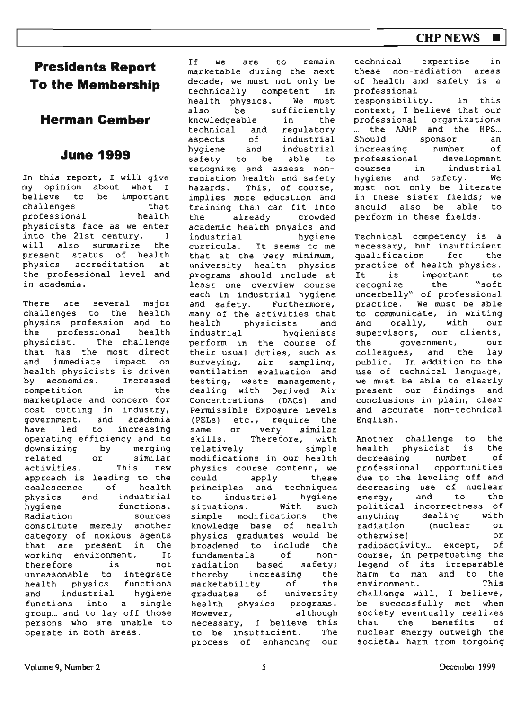# **CHPNEWS** ■

# **Presidents Report To the Membership**

**Herman Cember** 

# **June 1999**

In this report, I will give my opinion about what I believe to be important<br>challenges challenges that<br>professional health professional physicists face as we enter into the 21st century. I will also summarize the present status of health physics accreditation at the professional level and in academia.

There are several major challenges to the health physics profession and to<br>the professional health the professional physicist. The challenge that has the most direct<br>and immediate impact on and immediate impact health physicists is driven<br>by economics. Increased  $bv$  economics. competition in the marketplace and concern for cost cutting in industry,<br>government, and academia government, and academia<br>have led to increasing have led to operating efficiency and to downsizing by merging related or similar activities. This new approach is leading to the<br>coalescence of health coalescence of health<br>physics and industrial physics and<br>hvgiene functions. Radiation sources constitute merely another category of noxious agents that are present in the<br>working environment. It working environment. It<br>therefore is not therefore unreasonable to integrate<br>health physics functions health physics and industrial hygiene functions into a single group... and to lay off those persons who are unable to operate in both areas.

If we are to remain marketable during the next decade, we must not only be technically competent in health physics. We must<br>also be sufficiently be sufficiently<br>eable in the knowledgeable in the<br>technical and regulatory technical and<br>aspects of aspects of industrial<br>hygiene and industrial industrial safety to be able to recognize and assess nonradiation health and safety hazards. This, of course, implies more education and training than can fit into the already crowded academic health physics and industrial hygiene curricula. It seems to me that at the very minimum, university health physics programs should include at least one **overview** course each in industrial hygiene and safety. Furthermore, many of the activities that health physicists and<br>industrial hygienists hygienists perform in the course of their usual duties, such as<br>surveying, air sampling, air sampling, ventilation evaluation and testing, waste management, dealing with Derived Air Concentrations (DACs) and Permissible gxposure Levels (PELs) etc., require the<br>same or very similar same or very similar<br>skills. Therefore, with Therefore, with<br>simple  $relatively$ modifications in our health physics course content, we could apply these<br>principles and techniques principles and techniques<br>to industrial hygiene to industrial hygiene<br>situations. With such situations. **With** such simple modifications knowledge base of health physics graduates would be broadened to include the<br>fundamentals of nonfundamentals of nonradiation based safety;<br>thereby increasing the increasing the<br>ity of the marketability graduates of university health physics programs. However, although necessary, I believe this<br>to be insufficient. The to be insufficient. process of enhancing our technical expertise in these non-radiation **areas**  of health and safety is a professional responsibility. In this context, I believe that our professional organizations the AAHP and the HPS...<br>Should sponsor an sponsor an<br>ing number of increasing number of<br>professional development professional development<br>courses in industrial courses in industrial<br>hydiene and safety. We hygiene and safety. must not only be literate in these sister fields; we should also be able to perform in these fields.

Technical competency is a necessary, but insufficient qualification for the practice of health physics.<br>It is important to important to<br>the "soft recognize underbelly" of professional practice. we must be able to communicate, in writing and orally, with our supervisors, our clients,<br>the covernment, our the government, our<br>colleagues, and the lav colleagues, and the public. In addition to the use of technical language, we must be able to clearly present our findings and conclusions in plain, clear and accurate non-technical English.

Another challenge to the<br>health physicist is the health physicist is the<br>decreasing number of decreasing professional opportunities due to the leveling off and decreasing use of nuclear energy, and political incorrectness of anything dealing with radiation (nuclear or otherwise) or radioactivity... except, of course, in perpetuating the legend of its irreparable harm to man and to the<br>environment. This environment. challenge will, I believe, be successfully met when society eventually realizes<br>that the benefits of that the benefits nuclear energy outweigh the societal harm from forgoing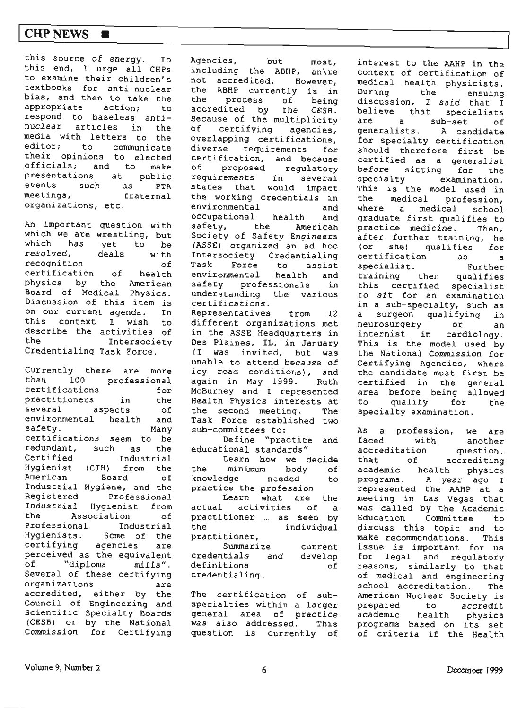### I **CHPNEWS** ■

this source of energy. To this end, I urge all CHPs to examine their children's textbooks for anti-nuclear bias, and then to take the appropriate action; to respond to baseless antinuclear articles in the media with letters to the editor; to communicate their opinions to elected officials; and to make presentations at public<br>events such as PTA events such as meetings, fraternal organizations, etc.

An important question with which we are wrestling, but which has yet to be resolved, deals with recognition of certification of health physics by the American Board of Medical Physics. Discussion of this item is on our current agenda. In this context I wish to describe the activities of the Intersociety Credentialing Task force.

Currently there are more than 100 professional certifications for practitioners in the several aspects of environmental health and safety. Many certifications seem to be redundant, such as the Certified Industrial Hygienist (CIH) from the American Board of Industrial Hygiene, and the Registered Professional Industrial Hygienist from the Association of Professional Industrial Hygienists. Some of the certifying agencies are perceived as the equivalent of "diploma mills". Several of these certifying organizations are accredited, either by the Council of Engineering and Scientific Specialty Boards (CESB) or by the National Commission for Certifying Agencies, but most, including the ABHP, an\re not accredited. However, the ABHP currently is in<br>the process of being process of accredited by the CESB. Because of the multiplicity<br>of certifying agapoies  $c$ ertifying agencies, overlapping certifications, diverse requirements for certification, and because of proposed regulatory requirements in several states that would impact the working credentials in environmental and occupational health and safety, the American Society of Safety Engineers (ASSE) organized an ad hoc Intersociety Credentialing Task Force to assist environmental health and safety professionals in understanding the various certifications. Representatives from 12 different organizations met in the ASSE Headquarters in Des Plaines, IL, in January (I was invited, but was unable to attend because of icy road conditions), and again in May 1999. Ruth McBurney and I represented Health Physics interests at the second meeting. The **Task** Force established two sub-committees to : Define "practice and

educational standards"

Learn how **we** decide the minimum body of knowledge needed to practice the profession Learn what are the actual activities of <sup>a</sup> practitioner ... as seen by<br>the individual individual practitioner,

Summarize credentials and definitions credentialing. current develop of

The certification of subspecialties within a larger general area of practice was also addressed. This question is currently of

interest to the AAHP in the context of certification of medical health physicists. During the ensuing discussion, I said that <sup>I</sup> believe that specialists are a sub-set of generalists. A candidate for specialty certification should therefore first be certified as a generalist before sitting for the specialty examination. This is the model used in the medical profession, where a medical school graduate first qualifies to practice medicine. Then, after further training, he (or she) qualifies for certification as <sup>a</sup> specialist. Further training then qualifies this certified specialist to sit for an examination in a sub-specialty, such as a surgeon qualifying in neurosurgery or an internist in cardiology. This is the model used by the National Commission for Certifying Agencies, where the candidate must first be certified in the general area before being allowed to qualify for the specialty examination.

As a profession, we are faced with another accreditation question... that of accrediting academic health physics programs. A year ago I represented the AAHP at <sup>a</sup> meeting in Las Vegas that was called by the Academic Education Committee to discuss this topic and to **make** recommendations. This issue is important for us for legal and regulatory reasons, similarly to that of medical and engineering school accreditation. The American Nuclear Society is prepared to accredit academic health physics programs based on its set of criteria if the Health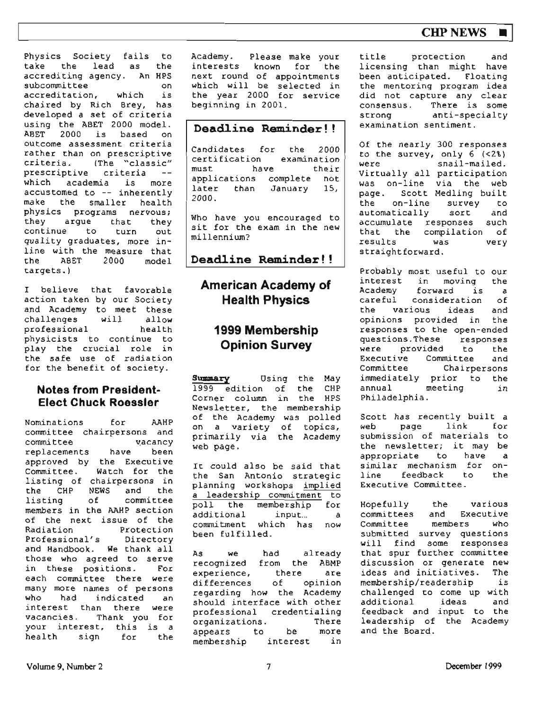## **CHP NEWS**

Physics Society fails to<br>take the lead as the take the lead as accrediting agency. An HPS subcommittee on accreditation, which is chaired by Rich Brey, has developed a set of criteria using the ABET 2000 model.<br>ABET 2000 is based or based on outcome assessment criteria rather than on prescriptive criteria. (The "classic" prescriptive criteria<br>which academia is which academia is more accustomed to -- inherently make the smaller health physics programs nervous;<br>they arque that they they argue continue to turn out quality graduates, more inline with the measure that the ABET 2000 model targets. )

I believe that favorable action taken by our Society and Academy to meet these<br>challenges will allow challenges will allow professional health physicists to continue to play the crucial role in the safe use of radiation for the benefit of society.

#### **Notes from President-Elect Chuck Roessler**

Nominations for AAHP committee chairpersons and<br>committee vacancy committee vacancy<br>replacements have been replacements approved by the Executive<br>Committee. Watch for the Watch for the listing of chairpecsons in the CHP **NEWS** and the listing of committee members in the AAHP section of the next issue of the Radiation Protection Professional's Directory and Handbook. We thank all those who agreed to serve<br>in these positions. For in these positions. each committee there were many more names of persons<br>who had indicated an indicated interest than there were vacancies. Thank you for your interest, this is <sup>a</sup> health sign for the Academy. interests Please make your known for the next round of appointments which will be selected in the year 2000 for service beginning in 2001.

#### **Deadline Reminder!**

Candidates for the *2000*  certification examination must have their applications complete not<br>later than January 15. later than January 2000.

Who have you encouraged to sit for the exam in the new millennium?

**Deaciline Reminder** ! !

# **American Academy of Health Physics**

# **1999 Membership Opinion Survey**

**Summary** Using the May<br>1999 edition of the CHP  $1999$  edition of the Corner column in the HPS Newsletter, the membership of the Academy was polled on a variety of topics, primarily via the Academy web page.

It could also be said that the San Antonio strategic planning workshops implied <sup>a</sup>leadership commitment to poll the membership for additional input... <sup>a</sup> commitment which has now been fulfilled.

As we had already recognized from the **ABMP**  experience, there are differences of opinion regarding how the Academy should interface with other professional credentialing<br>organizations. There organizations. There<br>appears to be more appears to be more<br>membership interest in membership

title protection and licensing than might have been anticipated. Floating the mentoring program idea did not capture any clear<br>consensus. There is some There is some strong anti-specialty examination sentiment.

Of the nearly 300 responses to the survey, only  $6$  (<2%)<br>were snail-mailed.  $snail$ -mailed. Virtually all participation was on-line via the web page. Scott Medling built<br>the on-line survey to on-line survey to<br>tically sort and automatically accumulate responses such<br>that the compilation of compilation of<br>was very results was straight forward.

Probably most useful to our<br>interest in moving the in moving the<br>forward is a Academy forward is a<br>careful consideration of consideration the various ideas and opinions provided in the responses to the open-ended<br>questions. These responses questions.These responses<br>were orovided to the **were** provided to the Executive Committee Chairpersons immediately prior to the<br>annual meeting in meeting in Philadelphia.

Scott has recently built a web page link for submission of materials to the newsletter; it may be appropriate to have similar mechanism for on-1 ine feedback to Executive Committee. a the

Hopefully the various committees Committee members who submitted survey questions will find some responses that spur further committee discussion or generate new<br>ideas and initiatives. The ideas and initiatives. membership/readership is challenged to come up with<br>additional ideas and additional feedback and input to the leadership of the Academy and the Board.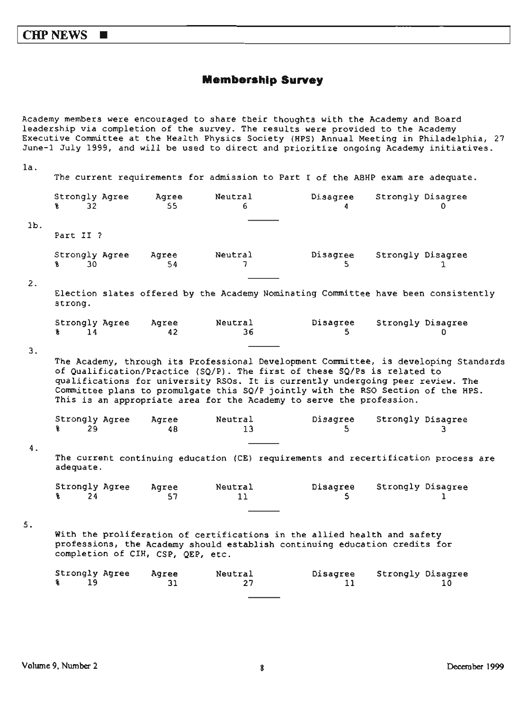#### **Membership Survey**

Academy members were encouraged to share tbeir thoughts with the Academy and Board leadership via completion of the survey. The results were provided to the Academy Executive Committee at the Health Physics Society (HPS) Annual Meeting in Philadelphia, 27 June-1 July 1999, and will be used to direct and prioritize ongoing Academy initiatives.

| la.    |                                         |                                   |               | The current requirements for admission to Part I of the ABHP exam are adequate.                                                                                                                                                                                                                                                                                                                                 |                   |    |
|--------|-----------------------------------------|-----------------------------------|---------------|-----------------------------------------------------------------------------------------------------------------------------------------------------------------------------------------------------------------------------------------------------------------------------------------------------------------------------------------------------------------------------------------------------------------|-------------------|----|
|        | Strongly Agree<br>32 <sup>2</sup><br>R. | Agree<br>55                       | Neutral<br>6  | Disagree<br>4                                                                                                                                                                                                                                                                                                                                                                                                   | Strongly Disagree |    |
| $1b$ . |                                         |                                   |               |                                                                                                                                                                                                                                                                                                                                                                                                                 |                   |    |
|        | Part II ?                               |                                   |               |                                                                                                                                                                                                                                                                                                                                                                                                                 |                   |    |
|        | Strongly Agree<br>30<br>Ŷ.              | Agree<br>54                       | Neutral<br>7  | Disagree<br>S.                                                                                                                                                                                                                                                                                                                                                                                                  | Strongly Disagree | 1  |
| 2.     | strong.                                 |                                   |               | Election slates offered by the Academy Nominating Committee have been consistently                                                                                                                                                                                                                                                                                                                              |                   |    |
|        | Strongly Agree<br>14<br>g.              | Agree<br>42                       | Neutral<br>36 | Disagree<br>5.                                                                                                                                                                                                                                                                                                                                                                                                  | Strongly Disagree |    |
| З.     |                                         |                                   |               | The Academy, through its Professional Development Committee, is developing Standards<br>of Qualification/Practice (SQ/P). The first of these SQ/Ps is related to<br>qualifications for university RSOs. It is currently undergoing peer review. The<br>Committee plans to promulgate this SQ/P jointly with the RSO Section of the HPS.<br>This is an appropriate area for the Academy to serve the profession. |                   |    |
|        | Strongly Agree<br>29<br>€               | Agree<br>48                       | Neutral<br>13 | Disagree<br>5.                                                                                                                                                                                                                                                                                                                                                                                                  | Strongly Disagree | 3. |
| 4.     | adequate.                               |                                   |               | The current continuing education (CE) requirements and recertification process are                                                                                                                                                                                                                                                                                                                              |                   |    |
|        | Strongly Agree<br>24<br>¥.              | Aqree<br>57                       | Neutral<br>11 | Disagree<br>5                                                                                                                                                                                                                                                                                                                                                                                                   | Strongly Disagree | 1. |
| 5.     |                                         | completion of CIH, CSP, QEP, etc. |               | With the proliferation of certifications in the allied health and safety<br>professions, the Academy should establish continuing education credits for                                                                                                                                                                                                                                                          |                   |    |
|        | Strongly Agree<br>19<br>¥.              | Agree<br>31                       | Neutral<br>27 | Disagree<br>11                                                                                                                                                                                                                                                                                                                                                                                                  | Strongly Disagree | 10 |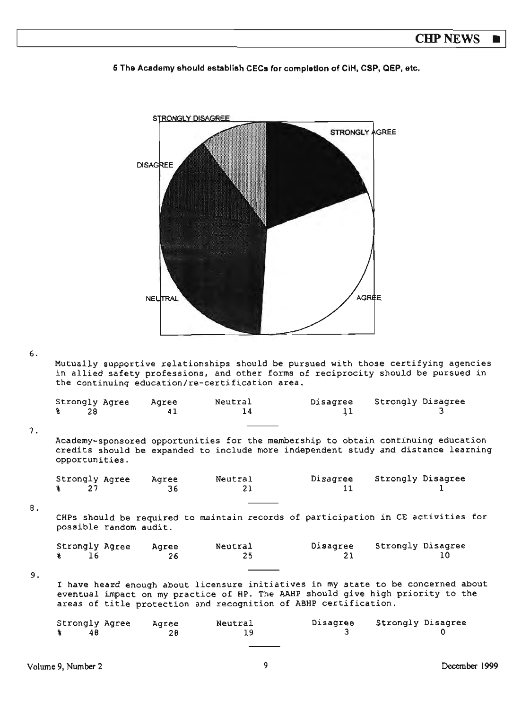**6 The Academy should establish CECs for compleUon of** CIH, **CSP, QEP, etc,** 



#### 6.

Mutually supportive relationships should be pursued with those certifying agencies in allied safety professions, and other forms of reciprocity should be pursued in the continuing education/re-certification area.

|           | Strongly Agree<br>Ŷ.<br>28        |                        | Agree<br>41 | Neutral<br>14                                                                                                                                                           | Disagree<br>11 | Strongly Disagree |    |
|-----------|-----------------------------------|------------------------|-------------|-------------------------------------------------------------------------------------------------------------------------------------------------------------------------|----------------|-------------------|----|
| 7.        | opportunities.                    |                        |             | Academy-sponsored opportunities for the membership to obtain continuing education<br>credits should be expanded to include more independent study and distance learning |                |                   |    |
|           | Strongly Agree<br>27<br>¥         |                        | Agree<br>36 | Neutral<br>21                                                                                                                                                           | Disagree<br>11 | Strongly Disagree |    |
| <b>B.</b> |                                   | possible random audit. |             | CHPs should be required to maintain records of participation in CE activities for                                                                                       |                |                   |    |
|           | Strongly Agree<br>$\bullet$<br>16 |                        | Agree<br>26 | Neutral<br>25                                                                                                                                                           | Disagree<br>21 | Strongly Disagree | 10 |
| 9.        |                                   |                        |             | I have heard enough about licensure initiatives in my state to be concerned about                                                                                       |                |                   |    |
|           |                                   |                        |             | eventual impact on my practice of HP. The AAHP should give high priority to the<br>areas of title protection and recognition of ABHP certification.                     |                |                   |    |
|           | Strongly Agree<br>48<br>℁         |                        | Agree<br>28 | Neutral<br>19                                                                                                                                                           | Disagree<br>3  | Strongly Disagree |    |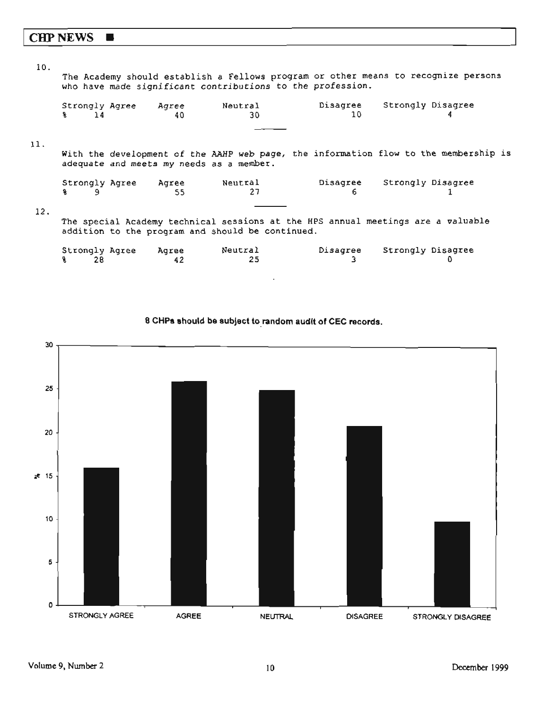# **CHPNEWS** ■

| 10. |                                          |       |                                                            |                |                                                                                      |  |
|-----|------------------------------------------|-------|------------------------------------------------------------|----------------|--------------------------------------------------------------------------------------|--|
|     |                                          |       | who have made significant contributions to the profession. |                | The Academy should establish a Fellows program or other means to recognize persons   |  |
|     | Strongly Agree                           | Agree | Neutral                                                    | Disagree<br>10 | Strongly Disagree                                                                    |  |
|     | $\frac{9}{2}$ 14                         | 40    | 30                                                         |                |                                                                                      |  |
| 11. |                                          |       |                                                            |                |                                                                                      |  |
|     | adequate and meets my needs as a member. |       |                                                            |                | With the development of the AAHP web page, the information flow to the membership is |  |
|     | Strongly Agree                           | Aqree | Neutral                                                    |                | Disagree Strongly Disagree                                                           |  |
|     | 9<br>ዬ                                   | 55    | 27                                                         | 6              |                                                                                      |  |
| 12. |                                          |       |                                                            |                |                                                                                      |  |
|     |                                          |       | addition to the program and should be continued.           |                | The special Academy technical sessions at the HPS annual meetings are a valuable     |  |
|     | Strongly Agree                           | Agree | Neutral                                                    | Disagree       | Strongly Disagree                                                                    |  |
|     | 28<br>S.                                 | 42    | 25                                                         | з              |                                                                                      |  |

**8 CHPa should be subject to\_ random audit of CEC records.** 

 $\ddot{\phantom{0}}$